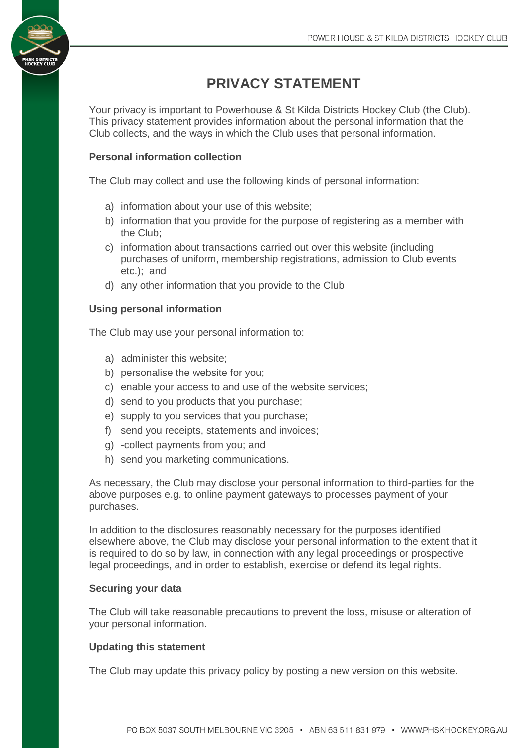

Your privacy is important to Powerhouse & St Kilda Districts Hockey Club (the Club). This privacy statement provides information about the personal information that the Club collects, and the ways in which the Club uses that personal information.

# **Personal information collection**

The Club may collect and use the following kinds of personal information:

- a) information about your use of this website;
- b) information that you provide for the purpose of registering as a member with the Club;
- c) information about transactions carried out over this website (including purchases of uniform, membership registrations, admission to Club events etc.); and
- d) any other information that you provide to the Club

### **Using personal information**

The Club may use your personal information to:

- a) administer this website;
- b) personalise the website for you;
- c) enable your access to and use of the website services;
- d) send to you products that you purchase;
- e) supply to you services that you purchase;
- f) send you receipts, statements and invoices;
- g) -collect payments from you; and
- h) send you marketing communications.

As necessary, the Club may disclose your personal information to third-parties for the above purposes e.g. to online payment gateways to processes payment of your purchases.

In addition to the disclosures reasonably necessary for the purposes identified elsewhere above, the Club may disclose your personal information to the extent that it is required to do so by law, in connection with any legal proceedings or prospective legal proceedings, and in order to establish, exercise or defend its legal rights.

### **Securing your data**

The Club will take reasonable precautions to prevent the loss, misuse or alteration of your personal information.

#### **Updating this statement**

The Club may update this privacy policy by posting a new version on this website.